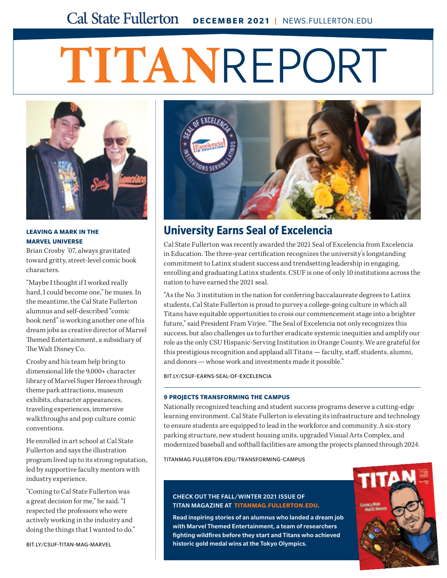## **Cal State Fullerton DECEMBER 2021 | NEWS.FULLERTON.EDU**

# **TITAN**REPORT



**LEAVING A MARK IN THE MARVEL UNIVERSE**

Brian Crosby '07, always gravitated toward gritty, street-level comic book characters.

"Maybe I thought if I worked really hard, I could become one," he muses. In the meantime, the Cal State Fullerton alumnus and self-described "comic book nerd" is working another one of his dream jobs as creative director of Marvel Themed Entertainment, a subsidiary of The Walt Disney Co.

Crosby and his team help bring to dimensional life the 9,000+ character library of Marvel Super Heroes through theme park attractions, museum exhibits, character appearances, traveling experiences, immersive walkthroughs and pop culture comic conventions.

He enrolled in art school at Cal State Fullerton and says the illustration program lived up to its strong reputation, led by supportive faculty mentors with industry experience.

"Coming to Cal State Fullerton was a great decision for me," he said. "I respected the professors who were actively working in the industry and doing the things that I wanted to do."

[BIT.LY/CSUF-TITAN-MAG-MARVEL](http://bit.ly/csuf-titan-mag-marvel)



## **University Earns Seal of Excelencia**

Cal State Fullerton was recently awarded the 2021 Seal of Excelencia from Excelencia in Education. The three-year certification recognizes the university's longstanding commitment to Latinx student success and trendsetting leadership in engaging, enrolling and graduating Latinx students. CSUF is one of only 10 institutions across the nation to have earned the 2021 seal.

"As the No. 3 institution in the nation for conferring baccalaureate degrees to Latinx students, Cal State Fullerton is proud to purvey a college-going culture in which all Titans have equitable opportunities to cross our commencement stage into a brighter future," said President Fram Virjee. "The Seal of Excelencia not only recognizes this success, but also challenges us to further eradicate systemic inequities and amplify our role as the only CSU Hispanic-Serving Institution in Orange County. We are grateful for this prestigious recognition and applaud all Titans — faculty, staff, students, alumni, and donors — whose work and investments made it possible."

[BIT.LY/CSUF-EARNS-SEAL-OF-EXCELENCIA](http://bit.ly/csuf-earns-seal-of-excelencia)

#### **9 PROJECTS TRANSFORMING THE CAMPUS**

Nationally recognized teaching and student success programs deserve a cutting-edge learning environment. Cal State Fullerton is elevating its infrastructure and technology to ensure students are equipped to lead in the workforce and community. A six-story parking structure, new student housing units, upgraded Visual Arts Complex, and modernized baseball and softball facilities are among the projects planned through 2024.

[TITANMAG.FULLERTON.EDU/TRANSFORMING-CAMPUS](http://titanmag.fullerton.edu/transforming-campus)

#### CHECK OUT THE FALL/WINTER 2021 ISSUE OF TITAN MAGAZINE AT **[TITANMAG.FULLERTON.EDU](http://titanmag.fullerton.edu)**.

Read inspiring stories of an alumnus who landed a dream job with Marvel Themed Entertainment, a team of researchers fighting wildfires before they start and Titans who achieved historic gold medal wins at the Tokyo Olympics.